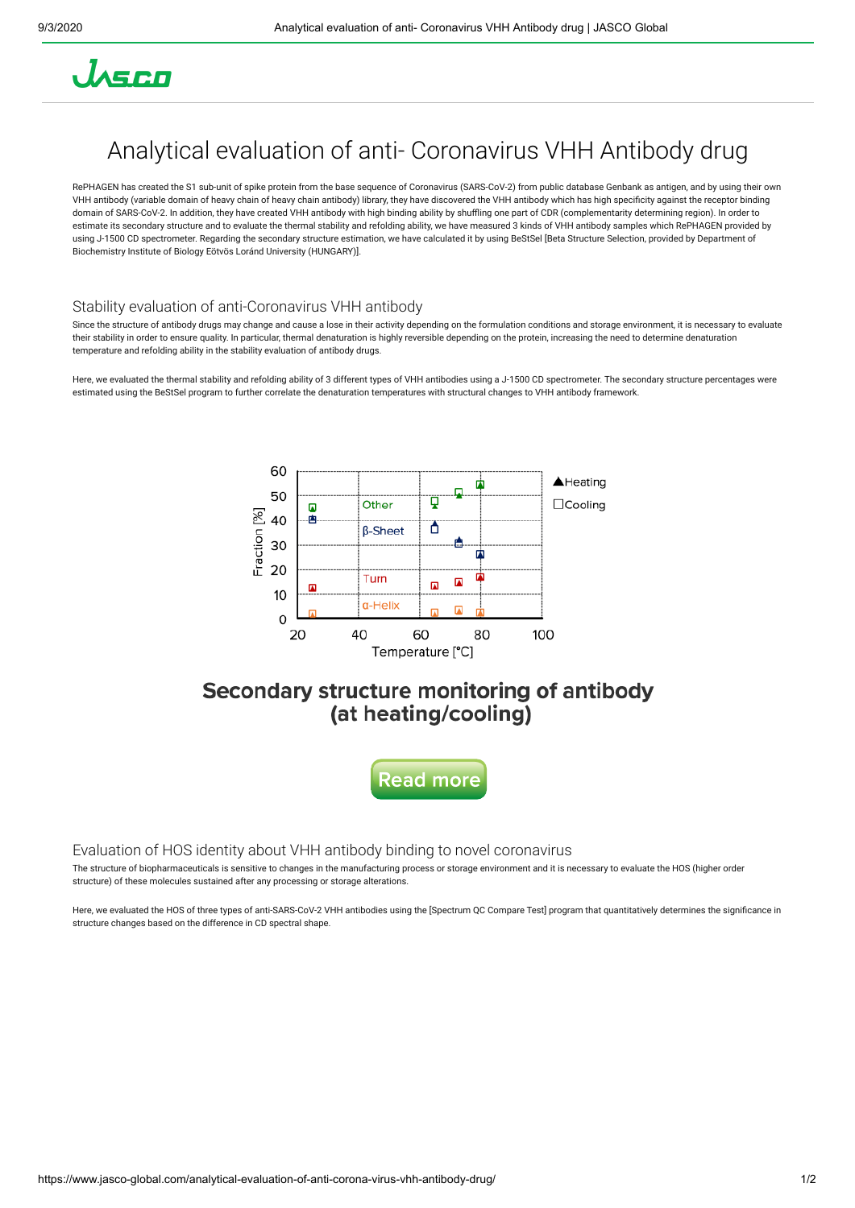

# Analytical evaluation of anti- Coronavirus VHH Antibody drug

RePHAGEN has created the S1 sub-unit of spike protein from the base sequence of Coronavirus (SARS-CoV-2) from public database Genbank as antigen, and by using their own VHH antibody (variable domain of heavy chain of heavy chain antibody) library, they have discovered the VHH antibody which has high specicity against the receptor binding domain of SARS-CoV-2. In addition, they have created VHH antibody with high binding ability by shuffling one part of CDR (complementarity determining region). In order to estimate its secondary structure and to evaluate the thermal stability and refolding ability, we have measured 3 kinds of VHH antibody samples which RePHAGEN provided by using J-1500 CD spectrometer. Regarding the secondary structure estimation, we have calculated it by using BeStSel [Beta Structure Selection, provided by Department of Biochemistry Institute of Biology Eötvös Loránd University (HUNGARY)].

### Stability evaluation of anti-Coronavirus VHH antibody

Since the structure of antibody drugs may change and cause a lose in their activity depending on the formulation conditions and storage environment, it is necessary to evaluate their stability in order to ensure quality. In particular, thermal denaturation is highly reversible depending on the protein, increasing the need to determine denaturation temperature and refolding ability in the stability evaluation of antibody drugs.

Here, we evaluated the thermal stability and refolding ability of 3 different types of VHH antibodies using a J-1500 CD spectrometer. The secondary structure percentages were estimated using the BeStSel program to further correlate the denaturation temperatures with structural changes to VHH antibody framework.



### Secondary structure monitoring of antibody (at heating/cooling)



### Evaluation of HOS identity about VHH antibody binding to novel coronavirus

The structure of biopharmaceuticals is sensitive to changes in the manufacturing process or storage environment and it is necessary to evaluate the HOS (higher order structure) of these molecules sustained after any processing or storage alterations.

Here, we evaluated the HOS of three types of anti-SARS-CoV-2 VHH antibodies using the [Spectrum QC Compare Test] program that quantitatively determines the significance in structure changes based on the difference in CD spectral shape.